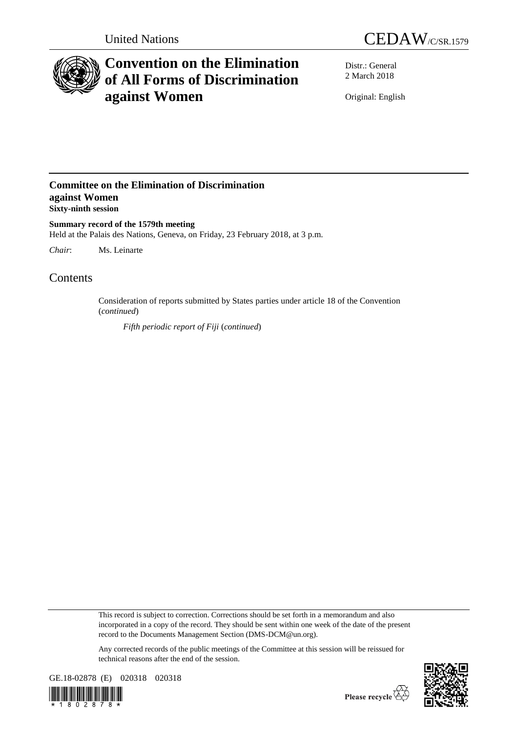



## **Convention on the Elimination of All Forms of Discrimination against Women**

Distr.: General 2 March 2018

Original: English

## **Committee on the Elimination of Discrimination against Women Sixty-ninth session**

**Summary record of the 1579th meeting** Held at the Palais des Nations, Geneva, on Friday, 23 February 2018, at 3 p.m.

*Chair*: Ms. Leinarte

## **Contents**

Consideration of reports submitted by States parties under article 18 of the Convention (*continued*)

*Fifth periodic report of Fiji* (*continued*)

This record is subject to correction. Corrections should be set forth in a memorandum and also incorporated in a copy of the record. They should be sent within one week of the date of the present record to the Documents Management Section (DMS-DCM@un.org).

Any corrected records of the public meetings of the Committee at this session will be reissued for technical reasons after the end of the session.



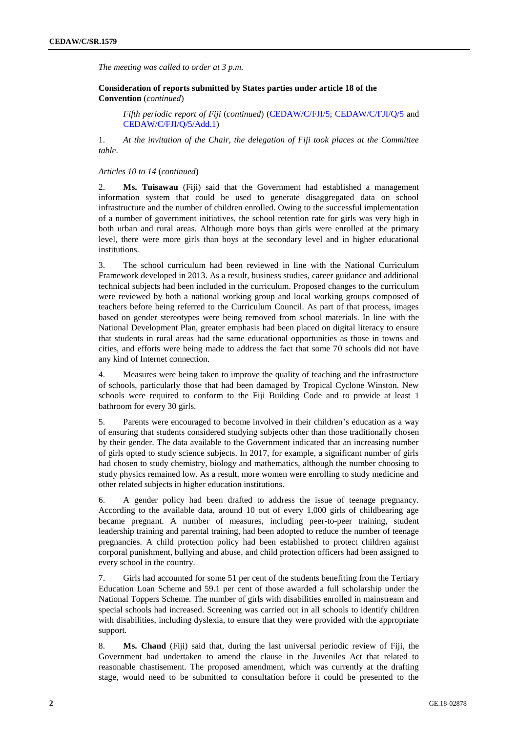*The meeting was called to order at 3 p.m.*

**Consideration of reports submitted by States parties under article 18 of the Convention** (*continued*)

*Fifth periodic report of Fiji* (*continued*) [\(CEDAW/C/FJI/5;](http://undocs.org/en/CEDAW/C/FJI/5) [CEDAW/C/FJI/Q/5](http://undocs.org/en/CEDAW/C/FJI/Q/5) and [CEDAW/C/FJI/Q/5/Add.1\)](http://undocs.org/en/CEDAW/C/FJI/Q/5/Add.1)

1. *At the invitation of the Chair, the delegation of Fiji took places at the Committee table*.

## *Articles 10 to 14* (*continued*)

2. **Ms. Tuisawau** (Fiji) said that the Government had established a management information system that could be used to generate disaggregated data on school infrastructure and the number of children enrolled. Owing to the successful implementation of a number of government initiatives, the school retention rate for girls was very high in both urban and rural areas. Although more boys than girls were enrolled at the primary level, there were more girls than boys at the secondary level and in higher educational institutions.

3. The school curriculum had been reviewed in line with the National Curriculum Framework developed in 2013. As a result, business studies, career guidance and additional technical subjects had been included in the curriculum. Proposed changes to the curriculum were reviewed by both a national working group and local working groups composed of teachers before being referred to the Curriculum Council. As part of that process, images based on gender stereotypes were being removed from school materials. In line with the National Development Plan, greater emphasis had been placed on digital literacy to ensure that students in rural areas had the same educational opportunities as those in towns and cities, and efforts were being made to address the fact that some 70 schools did not have any kind of Internet connection.

4. Measures were being taken to improve the quality of teaching and the infrastructure of schools, particularly those that had been damaged by Tropical Cyclone Winston. New schools were required to conform to the Fiji Building Code and to provide at least 1 bathroom for every 30 girls.

5. Parents were encouraged to become involved in their children's education as a way of ensuring that students considered studying subjects other than those traditionally chosen by their gender. The data available to the Government indicated that an increasing number of girls opted to study science subjects. In 2017, for example, a significant number of girls had chosen to study chemistry, biology and mathematics, although the number choosing to study physics remained low. As a result, more women were enrolling to study medicine and other related subjects in higher education institutions.

6. A gender policy had been drafted to address the issue of teenage pregnancy. According to the available data, around 10 out of every 1,000 girls of childbearing age became pregnant. A number of measures, including peer-to-peer training, student leadership training and parental training, had been adopted to reduce the number of teenage pregnancies. A child protection policy had been established to protect children against corporal punishment, bullying and abuse, and child protection officers had been assigned to every school in the country.

7. Girls had accounted for some 51 per cent of the students benefiting from the Tertiary Education Loan Scheme and 59.1 per cent of those awarded a full scholarship under the National Toppers Scheme. The number of girls with disabilities enrolled in mainstream and special schools had increased. Screening was carried out in all schools to identify children with disabilities, including dyslexia, to ensure that they were provided with the appropriate support.

8. **Ms. Chand** (Fiji) said that, during the last universal periodic review of Fiji, the Government had undertaken to amend the clause in the Juveniles Act that related to reasonable chastisement. The proposed amendment, which was currently at the drafting stage, would need to be submitted to consultation before it could be presented to the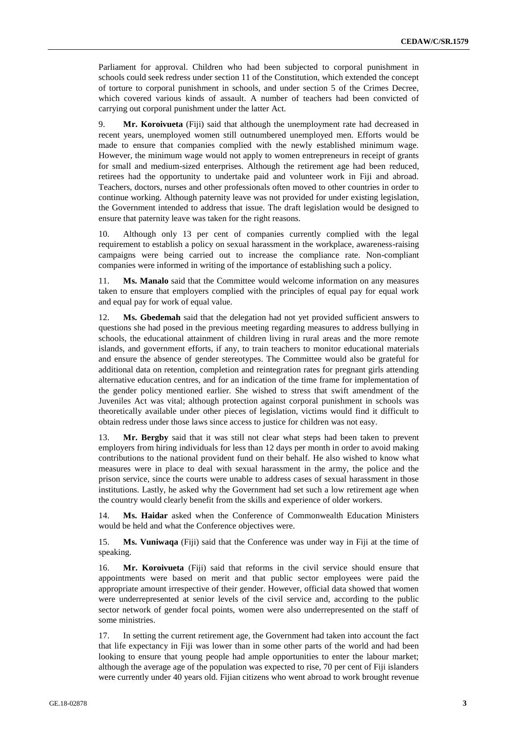Parliament for approval. Children who had been subjected to corporal punishment in schools could seek redress under section 11 of the Constitution, which extended the concept of torture to corporal punishment in schools, and under section 5 of the Crimes Decree, which covered various kinds of assault. A number of teachers had been convicted of carrying out corporal punishment under the latter Act.

9. **Mr. Koroivueta** (Fiji) said that although the unemployment rate had decreased in recent years, unemployed women still outnumbered unemployed men. Efforts would be made to ensure that companies complied with the newly established minimum wage. However, the minimum wage would not apply to women entrepreneurs in receipt of grants for small and medium-sized enterprises. Although the retirement age had been reduced, retirees had the opportunity to undertake paid and volunteer work in Fiji and abroad. Teachers, doctors, nurses and other professionals often moved to other countries in order to continue working. Although paternity leave was not provided for under existing legislation, the Government intended to address that issue. The draft legislation would be designed to ensure that paternity leave was taken for the right reasons.

10. Although only 13 per cent of companies currently complied with the legal requirement to establish a policy on sexual harassment in the workplace, awareness-raising campaigns were being carried out to increase the compliance rate. Non-compliant companies were informed in writing of the importance of establishing such a policy.

11. **Ms. Manalo** said that the Committee would welcome information on any measures taken to ensure that employers complied with the principles of equal pay for equal work and equal pay for work of equal value.

12. **Ms. Gbedemah** said that the delegation had not yet provided sufficient answers to questions she had posed in the previous meeting regarding measures to address bullying in schools, the educational attainment of children living in rural areas and the more remote islands, and government efforts, if any, to train teachers to monitor educational materials and ensure the absence of gender stereotypes. The Committee would also be grateful for additional data on retention, completion and reintegration rates for pregnant girls attending alternative education centres, and for an indication of the time frame for implementation of the gender policy mentioned earlier. She wished to stress that swift amendment of the Juveniles Act was vital; although protection against corporal punishment in schools was theoretically available under other pieces of legislation, victims would find it difficult to obtain redress under those laws since access to justice for children was not easy.

13. **Mr. Bergby** said that it was still not clear what steps had been taken to prevent employers from hiring individuals for less than 12 days per month in order to avoid making contributions to the national provident fund on their behalf. He also wished to know what measures were in place to deal with sexual harassment in the army, the police and the prison service, since the courts were unable to address cases of sexual harassment in those institutions. Lastly, he asked why the Government had set such a low retirement age when the country would clearly benefit from the skills and experience of older workers.

14. **Ms. Haidar** asked when the Conference of Commonwealth Education Ministers would be held and what the Conference objectives were.

15. **Ms. Vuniwaqa** (Fiji) said that the Conference was under way in Fiji at the time of speaking.

16. **Mr. Koroivueta** (Fiji) said that reforms in the civil service should ensure that appointments were based on merit and that public sector employees were paid the appropriate amount irrespective of their gender. However, official data showed that women were underrepresented at senior levels of the civil service and, according to the public sector network of gender focal points, women were also underrepresented on the staff of some ministries.

17. In setting the current retirement age, the Government had taken into account the fact that life expectancy in Fiji was lower than in some other parts of the world and had been looking to ensure that young people had ample opportunities to enter the labour market; although the average age of the population was expected to rise, 70 per cent of Fiji islanders were currently under 40 years old. Fijian citizens who went abroad to work brought revenue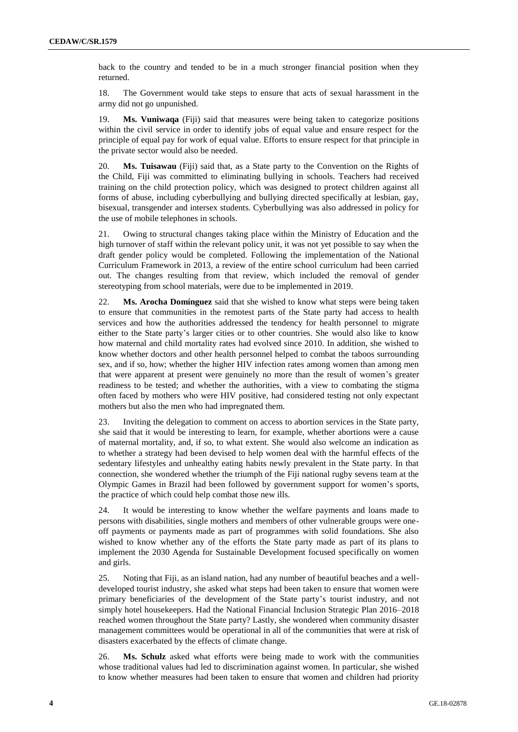back to the country and tended to be in a much stronger financial position when they returned.

18. The Government would take steps to ensure that acts of sexual harassment in the army did not go unpunished.

19. **Ms. Vuniwaqa** (Fiji) said that measures were being taken to categorize positions within the civil service in order to identify jobs of equal value and ensure respect for the principle of equal pay for work of equal value. Efforts to ensure respect for that principle in the private sector would also be needed.

20. **Ms. Tuisawau** (Fiji) said that, as a State party to the Convention on the Rights of the Child, Fiji was committed to eliminating bullying in schools. Teachers had received training on the child protection policy, which was designed to protect children against all forms of abuse, including cyberbullying and bullying directed specifically at lesbian, gay, bisexual, transgender and intersex students. Cyberbullying was also addressed in policy for the use of mobile telephones in schools.

21. Owing to structural changes taking place within the Ministry of Education and the high turnover of staff within the relevant policy unit, it was not yet possible to say when the draft gender policy would be completed. Following the implementation of the National Curriculum Framework in 2013, a review of the entire school curriculum had been carried out. The changes resulting from that review, which included the removal of gender stereotyping from school materials, were due to be implemented in 2019.

22. **Ms. Arocha Domínguez** said that she wished to know what steps were being taken to ensure that communities in the remotest parts of the State party had access to health services and how the authorities addressed the tendency for health personnel to migrate either to the State party's larger cities or to other countries. She would also like to know how maternal and child mortality rates had evolved since 2010. In addition, she wished to know whether doctors and other health personnel helped to combat the taboos surrounding sex, and if so, how; whether the higher HIV infection rates among women than among men that were apparent at present were genuinely no more than the result of women's greater readiness to be tested; and whether the authorities, with a view to combating the stigma often faced by mothers who were HIV positive, had considered testing not only expectant mothers but also the men who had impregnated them.

23. Inviting the delegation to comment on access to abortion services in the State party, she said that it would be interesting to learn, for example, whether abortions were a cause of maternal mortality, and, if so, to what extent. She would also welcome an indication as to whether a strategy had been devised to help women deal with the harmful effects of the sedentary lifestyles and unhealthy eating habits newly prevalent in the State party. In that connection, she wondered whether the triumph of the Fiji national rugby sevens team at the Olympic Games in Brazil had been followed by government support for women's sports, the practice of which could help combat those new ills.

24. It would be interesting to know whether the welfare payments and loans made to persons with disabilities, single mothers and members of other vulnerable groups were oneoff payments or payments made as part of programmes with solid foundations. She also wished to know whether any of the efforts the State party made as part of its plans to implement the 2030 Agenda for Sustainable Development focused specifically on women and girls.

25. Noting that Fiji, as an island nation, had any number of beautiful beaches and a welldeveloped tourist industry, she asked what steps had been taken to ensure that women were primary beneficiaries of the development of the State party's tourist industry, and not simply hotel housekeepers. Had the National Financial Inclusion Strategic Plan 2016–2018 reached women throughout the State party? Lastly, she wondered when community disaster management committees would be operational in all of the communities that were at risk of disasters exacerbated by the effects of climate change.

26. **Ms. Schulz** asked what efforts were being made to work with the communities whose traditional values had led to discrimination against women. In particular, she wished to know whether measures had been taken to ensure that women and children had priority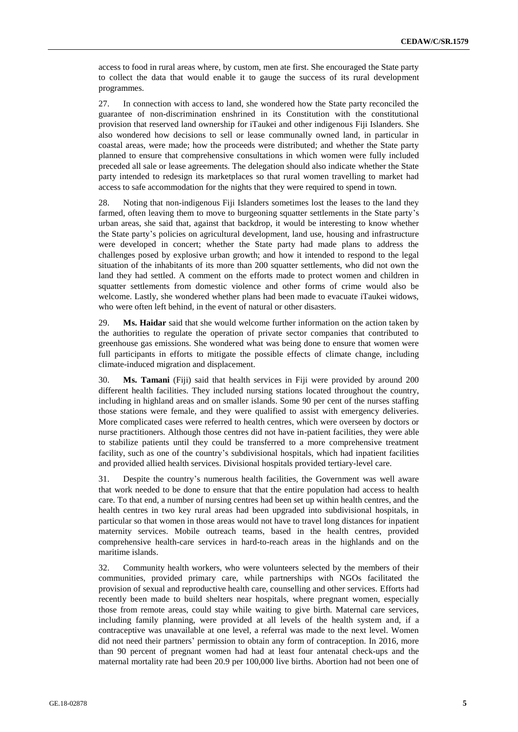access to food in rural areas where, by custom, men ate first. She encouraged the State party to collect the data that would enable it to gauge the success of its rural development programmes.

27. In connection with access to land, she wondered how the State party reconciled the guarantee of non-discrimination enshrined in its Constitution with the constitutional provision that reserved land ownership for iTaukei and other indigenous Fiji Islanders. She also wondered how decisions to sell or lease communally owned land, in particular in coastal areas, were made; how the proceeds were distributed; and whether the State party planned to ensure that comprehensive consultations in which women were fully included preceded all sale or lease agreements. The delegation should also indicate whether the State party intended to redesign its marketplaces so that rural women travelling to market had access to safe accommodation for the nights that they were required to spend in town.

28. Noting that non-indigenous Fiji Islanders sometimes lost the leases to the land they farmed, often leaving them to move to burgeoning squatter settlements in the State party's urban areas, she said that, against that backdrop, it would be interesting to know whether the State party's policies on agricultural development, land use, housing and infrastructure were developed in concert; whether the State party had made plans to address the challenges posed by explosive urban growth; and how it intended to respond to the legal situation of the inhabitants of its more than 200 squatter settlements, who did not own the land they had settled. A comment on the efforts made to protect women and children in squatter settlements from domestic violence and other forms of crime would also be welcome. Lastly, she wondered whether plans had been made to evacuate iTaukei widows, who were often left behind, in the event of natural or other disasters.

29. **Ms. Haidar** said that she would welcome further information on the action taken by the authorities to regulate the operation of private sector companies that contributed to greenhouse gas emissions. She wondered what was being done to ensure that women were full participants in efforts to mitigate the possible effects of climate change, including climate-induced migration and displacement.

30. **Ms. Tamani** (Fiji) said that health services in Fiji were provided by around 200 different health facilities. They included nursing stations located throughout the country, including in highland areas and on smaller islands. Some 90 per cent of the nurses staffing those stations were female, and they were qualified to assist with emergency deliveries. More complicated cases were referred to health centres, which were overseen by doctors or nurse practitioners. Although those centres did not have in-patient facilities, they were able to stabilize patients until they could be transferred to a more comprehensive treatment facility, such as one of the country's subdivisional hospitals, which had inpatient facilities and provided allied health services. Divisional hospitals provided tertiary-level care.

31. Despite the country's numerous health facilities, the Government was well aware that work needed to be done to ensure that that the entire population had access to health care. To that end, a number of nursing centres had been set up within health centres, and the health centres in two key rural areas had been upgraded into subdivisional hospitals, in particular so that women in those areas would not have to travel long distances for inpatient maternity services. Mobile outreach teams, based in the health centres, provided comprehensive health-care services in hard-to-reach areas in the highlands and on the maritime islands.

32. Community health workers, who were volunteers selected by the members of their communities, provided primary care, while partnerships with NGOs facilitated the provision of sexual and reproductive health care, counselling and other services. Efforts had recently been made to build shelters near hospitals, where pregnant women, especially those from remote areas, could stay while waiting to give birth. Maternal care services, including family planning, were provided at all levels of the health system and, if a contraceptive was unavailable at one level, a referral was made to the next level. Women did not need their partners' permission to obtain any form of contraception. In 2016, more than 90 percent of pregnant women had had at least four antenatal check-ups and the maternal mortality rate had been 20.9 per 100,000 live births. Abortion had not been one of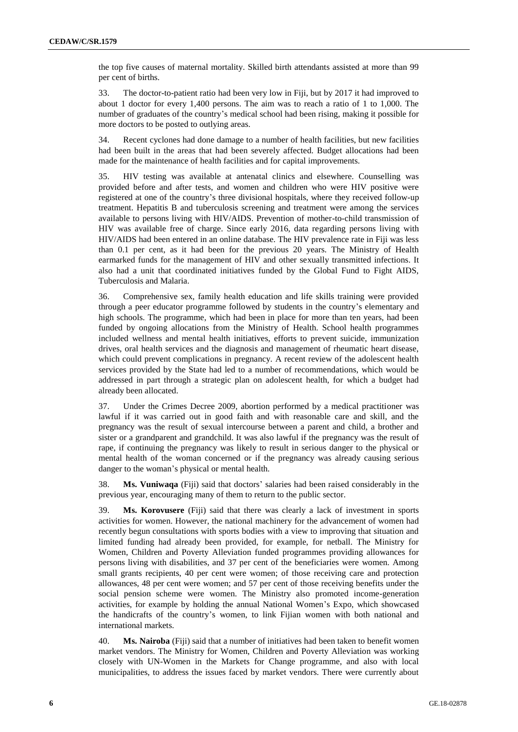the top five causes of maternal mortality. Skilled birth attendants assisted at more than 99 per cent of births.

33. The doctor-to-patient ratio had been very low in Fiji, but by 2017 it had improved to about 1 doctor for every 1,400 persons. The aim was to reach a ratio of 1 to 1,000. The number of graduates of the country's medical school had been rising, making it possible for more doctors to be posted to outlying areas.

34. Recent cyclones had done damage to a number of health facilities, but new facilities had been built in the areas that had been severely affected. Budget allocations had been made for the maintenance of health facilities and for capital improvements.

35. HIV testing was available at antenatal clinics and elsewhere. Counselling was provided before and after tests, and women and children who were HIV positive were registered at one of the country's three divisional hospitals, where they received follow-up treatment. Hepatitis B and tuberculosis screening and treatment were among the services available to persons living with HIV/AIDS. Prevention of mother-to-child transmission of HIV was available free of charge. Since early 2016, data regarding persons living with HIV/AIDS had been entered in an online database. The HIV prevalence rate in Fiji was less than 0.1 per cent, as it had been for the previous 20 years. The Ministry of Health earmarked funds for the management of HIV and other sexually transmitted infections. It also had a unit that coordinated initiatives funded by the Global Fund to Fight AIDS, Tuberculosis and Malaria.

36. Comprehensive sex, family health education and life skills training were provided through a peer educator programme followed by students in the country's elementary and high schools. The programme, which had been in place for more than ten years, had been funded by ongoing allocations from the Ministry of Health. School health programmes included wellness and mental health initiatives, efforts to prevent suicide, immunization drives, oral health services and the diagnosis and management of rheumatic heart disease, which could prevent complications in pregnancy. A recent review of the adolescent health services provided by the State had led to a number of recommendations, which would be addressed in part through a strategic plan on adolescent health, for which a budget had already been allocated.

37. Under the Crimes Decree 2009, abortion performed by a medical practitioner was lawful if it was carried out in good faith and with reasonable care and skill, and the pregnancy was the result of sexual intercourse between a parent and child, a brother and sister or a grandparent and grandchild. It was also lawful if the pregnancy was the result of rape, if continuing the pregnancy was likely to result in serious danger to the physical or mental health of the woman concerned or if the pregnancy was already causing serious danger to the woman's physical or mental health.

38. **Ms. Vuniwaqa** (Fiji) said that doctors' salaries had been raised considerably in the previous year, encouraging many of them to return to the public sector.

39. **Ms. Korovusere** (Fiji) said that there was clearly a lack of investment in sports activities for women. However, the national machinery for the advancement of women had recently begun consultations with sports bodies with a view to improving that situation and limited funding had already been provided, for example, for netball. The Ministry for Women, Children and Poverty Alleviation funded programmes providing allowances for persons living with disabilities, and 37 per cent of the beneficiaries were women. Among small grants recipients, 40 per cent were women; of those receiving care and protection allowances, 48 per cent were women; and 57 per cent of those receiving benefits under the social pension scheme were women. The Ministry also promoted income-generation activities, for example by holding the annual National Women's Expo, which showcased the handicrafts of the country's women, to link Fijian women with both national and international markets.

40. **Ms. Nairoba** (Fiji) said that a number of initiatives had been taken to benefit women market vendors. The Ministry for Women, Children and Poverty Alleviation was working closely with UN-Women in the Markets for Change programme, and also with local municipalities, to address the issues faced by market vendors. There were currently about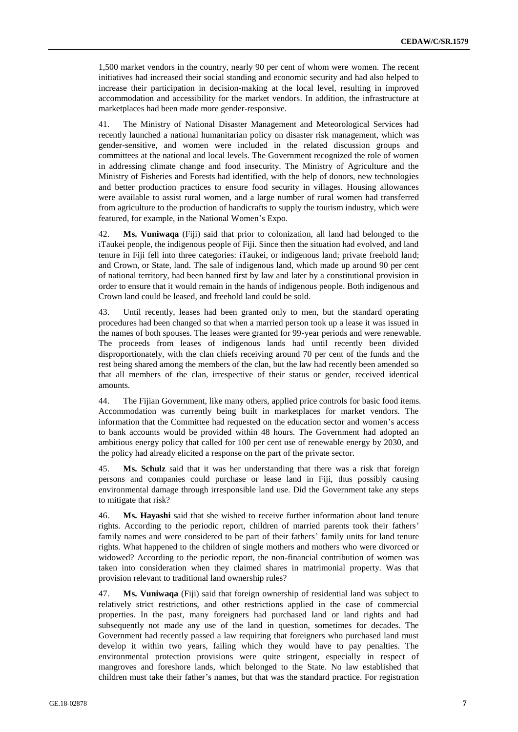1,500 market vendors in the country, nearly 90 per cent of whom were women. The recent initiatives had increased their social standing and economic security and had also helped to increase their participation in decision-making at the local level, resulting in improved accommodation and accessibility for the market vendors. In addition, the infrastructure at marketplaces had been made more gender-responsive.

41. The Ministry of National Disaster Management and Meteorological Services had recently launched a national humanitarian policy on disaster risk management, which was gender-sensitive, and women were included in the related discussion groups and committees at the national and local levels. The Government recognized the role of women in addressing climate change and food insecurity. The Ministry of Agriculture and the Ministry of Fisheries and Forests had identified, with the help of donors, new technologies and better production practices to ensure food security in villages. Housing allowances were available to assist rural women, and a large number of rural women had transferred from agriculture to the production of handicrafts to supply the tourism industry, which were featured, for example, in the National Women's Expo.

42. **Ms. Vuniwaqa** (Fiji) said that prior to colonization, all land had belonged to the iTaukei people, the indigenous people of Fiji. Since then the situation had evolved, and land tenure in Fiji fell into three categories: iTaukei, or indigenous land; private freehold land; and Crown, or State, land. The sale of indigenous land, which made up around 90 per cent of national territory, had been banned first by law and later by a constitutional provision in order to ensure that it would remain in the hands of indigenous people. Both indigenous and Crown land could be leased, and freehold land could be sold.

43. Until recently, leases had been granted only to men, but the standard operating procedures had been changed so that when a married person took up a lease it was issued in the names of both spouses. The leases were granted for 99-year periods and were renewable. The proceeds from leases of indigenous lands had until recently been divided disproportionately, with the clan chiefs receiving around 70 per cent of the funds and the rest being shared among the members of the clan, but the law had recently been amended so that all members of the clan, irrespective of their status or gender, received identical amounts.

44. The Fijian Government, like many others, applied price controls for basic food items. Accommodation was currently being built in marketplaces for market vendors. The information that the Committee had requested on the education sector and women's access to bank accounts would be provided within 48 hours. The Government had adopted an ambitious energy policy that called for 100 per cent use of renewable energy by 2030, and the policy had already elicited a response on the part of the private sector.

45. **Ms. Schulz** said that it was her understanding that there was a risk that foreign persons and companies could purchase or lease land in Fiji, thus possibly causing environmental damage through irresponsible land use. Did the Government take any steps to mitigate that risk?

46. **Ms. Hayashi** said that she wished to receive further information about land tenure rights. According to the periodic report, children of married parents took their fathers' family names and were considered to be part of their fathers' family units for land tenure rights. What happened to the children of single mothers and mothers who were divorced or widowed? According to the periodic report, the non-financial contribution of women was taken into consideration when they claimed shares in matrimonial property. Was that provision relevant to traditional land ownership rules?

47. **Ms. Vuniwaqa** (Fiji) said that foreign ownership of residential land was subject to relatively strict restrictions, and other restrictions applied in the case of commercial properties. In the past, many foreigners had purchased land or land rights and had subsequently not made any use of the land in question, sometimes for decades. The Government had recently passed a law requiring that foreigners who purchased land must develop it within two years, failing which they would have to pay penalties. The environmental protection provisions were quite stringent, especially in respect of mangroves and foreshore lands, which belonged to the State. No law established that children must take their father's names, but that was the standard practice. For registration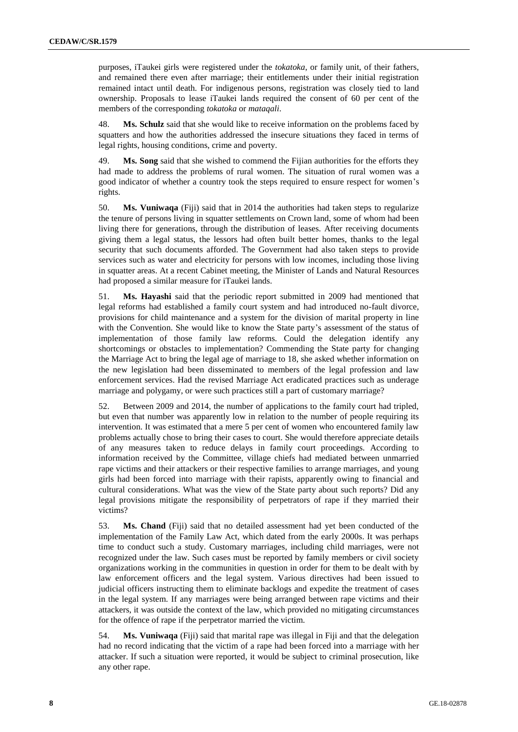purposes, iTaukei girls were registered under the *tokatoka*, or family unit, of their fathers, and remained there even after marriage; their entitlements under their initial registration remained intact until death. For indigenous persons, registration was closely tied to land ownership. Proposals to lease iTaukei lands required the consent of 60 per cent of the members of the corresponding *tokatoka* or *mataqali*.

48. **Ms. Schulz** said that she would like to receive information on the problems faced by squatters and how the authorities addressed the insecure situations they faced in terms of legal rights, housing conditions, crime and poverty.

49. **Ms. Song** said that she wished to commend the Fijian authorities for the efforts they had made to address the problems of rural women. The situation of rural women was a good indicator of whether a country took the steps required to ensure respect for women's rights.

50. **Ms. Vuniwaqa** (Fiji) said that in 2014 the authorities had taken steps to regularize the tenure of persons living in squatter settlements on Crown land, some of whom had been living there for generations, through the distribution of leases. After receiving documents giving them a legal status, the lessors had often built better homes, thanks to the legal security that such documents afforded. The Government had also taken steps to provide services such as water and electricity for persons with low incomes, including those living in squatter areas. At a recent Cabinet meeting, the Minister of Lands and Natural Resources had proposed a similar measure for iTaukei lands.

51. **Ms. Hayashi** said that the periodic report submitted in 2009 had mentioned that legal reforms had established a family court system and had introduced no-fault divorce, provisions for child maintenance and a system for the division of marital property in line with the Convention. She would like to know the State party's assessment of the status of implementation of those family law reforms. Could the delegation identify any shortcomings or obstacles to implementation? Commending the State party for changing the Marriage Act to bring the legal age of marriage to 18, she asked whether information on the new legislation had been disseminated to members of the legal profession and law enforcement services. Had the revised Marriage Act eradicated practices such as underage marriage and polygamy, or were such practices still a part of customary marriage?

52. Between 2009 and 2014, the number of applications to the family court had tripled, but even that number was apparently low in relation to the number of people requiring its intervention. It was estimated that a mere 5 per cent of women who encountered family law problems actually chose to bring their cases to court. She would therefore appreciate details of any measures taken to reduce delays in family court proceedings. According to information received by the Committee, village chiefs had mediated between unmarried rape victims and their attackers or their respective families to arrange marriages, and young girls had been forced into marriage with their rapists, apparently owing to financial and cultural considerations. What was the view of the State party about such reports? Did any legal provisions mitigate the responsibility of perpetrators of rape if they married their victims?

53. **Ms. Chand** (Fiji) said that no detailed assessment had yet been conducted of the implementation of the Family Law Act, which dated from the early 2000s. It was perhaps time to conduct such a study. Customary marriages, including child marriages, were not recognized under the law. Such cases must be reported by family members or civil society organizations working in the communities in question in order for them to be dealt with by law enforcement officers and the legal system. Various directives had been issued to judicial officers instructing them to eliminate backlogs and expedite the treatment of cases in the legal system. If any marriages were being arranged between rape victims and their attackers, it was outside the context of the law, which provided no mitigating circumstances for the offence of rape if the perpetrator married the victim.

54. **Ms. Vuniwaqa** (Fiji) said that marital rape was illegal in Fiji and that the delegation had no record indicating that the victim of a rape had been forced into a marriage with her attacker. If such a situation were reported, it would be subject to criminal prosecution, like any other rape.